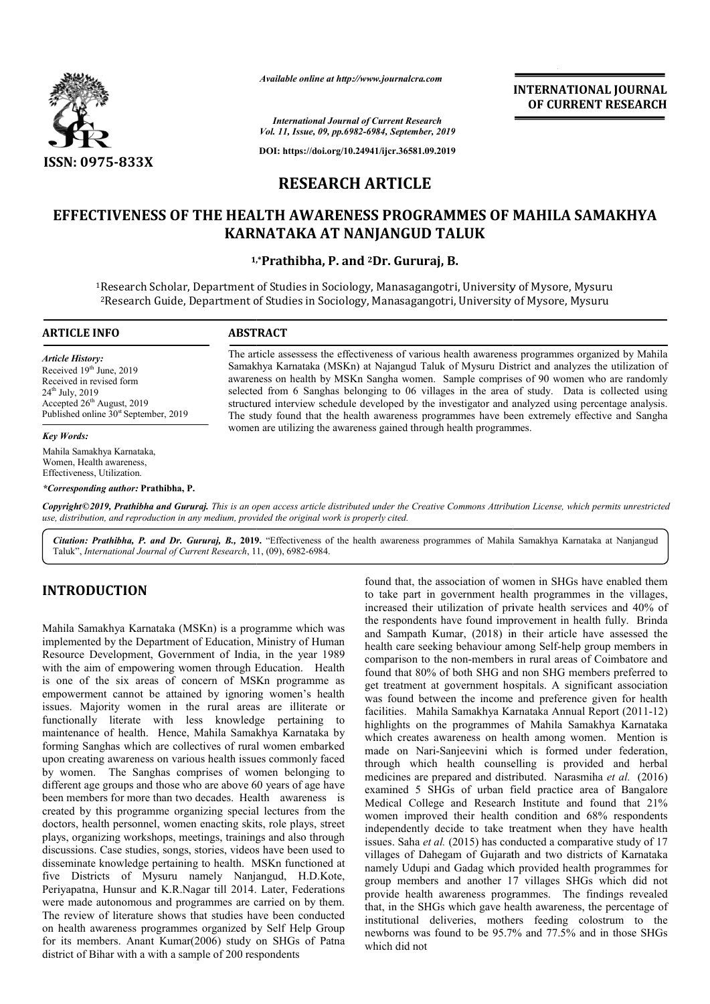

*Available online at http://www.journalcra.com*

**INTERNATIONAL JOURNAL OF CURRENT RESEARCH**

*International Journal of Current Research Vol. 11, Issue, 09, pp.6982-6984, September, 2019*

**DOI: https://doi.org/10.24941/ijcr.36581.09.2019**

# **RESEARCH ARTICLE**

# **EFFECTIVENESS OF THE HEALTH AWARENESS PROGRAMMES OF MAHILA SAMAKHYA EFFECTIVENESS THE HEALTH KARNATAKA AT NANJANGUD TALUK**

## **1, 1,\*Prathibha, P. and 2Dr. Gururaj, B.**

1Research Scholar, Department of Studies in Sociology, Manasagangotri, University of Mysore, Mysuru Research Scholar, Department of Studies in Sociology, Manasagangotri, University of Mysore, Mysuru<br><sup>2</sup>Research Guide, Department of Studies in Sociology, Manasagangotri, University of Mysore, Mysuru

# **ARTICLE INFO ABSTRACT**

*Article History:* Received 19<sup>th</sup> June, 2019 Received in revised form 24th July, 2019 Accepted 26<sup>th</sup> August, 2019 Published online  $30<sup>st</sup>$  September, 2019

## *Key Words:*

Mahila Samakhya Karnataka, Women, Health awareness, Effectiveness, Utilization.

*\*Corresponding author:* **Prathibha, P.**

The article assessess the effectiveness of various health awareness programmes organized by Mahila Samakhya Karnataka (MSKn) at Najangud Taluk of Mysuru District and analyzes the utilization of awareness on health by MSKn Sangha women. Sample comprises of 90 women who are randomly selected from 6 Sanghas belonging to 06 villages in the area of study. Data is collected using The article assessess the effectiveness of various health awareness programmes organized by Mahila Samakhya Karnataka (MSKn) at Najangud Taluk of Mysuru District and analyzes the utilization of awareness on health by MSKn The study found that the health awareness programmes have been extremely effective and Sangha women are utilizing the awareness gained through health programmes. women are utilizing the awareness gained through health programmes.

Copyright©2019, Prathibha and Gururaj. This is an open access article distributed under the Creative Commons Attribution License, which permits unrestrictea *use, distribution, and reproduction in any medium, provided the original work is properly cited.*

Citation: Prathibha, P. and Dr. Gururaj, B., 2019. "Effectiveness of the health awareness programmes of Mahila Samakhya Karnataka at Nanjangud Taluk", International Journal of Current Research, 11, (09), 6982-6984.

# **INTRODUCTION**

Mahila Samakhya Karnataka (MSKn) is a programme which was implemented by the Department of Education, Ministry of Human Resource Development, Government of India, in the year 1989 with the aim of empowering women through Education. Health is one of the six areas of concern of MSKn programme as empowerment cannot be attained by ignoring women's health issues. Majority women in the rural areas are illiterate or functionally literate with less knowledge pertaining to maintenance of health. Hence, Mahila Samakhya Karnataka by forming Sanghas which are collectives of rural women embarked upon creating awareness on various health issues commonly faced by women. The Sanghas comprises of women belonging to different age groups and those who are above 60 years of age have been members for more than two decades. Health awareness is created by this programme organizing special lectures from the doctors, health personnel, women enacting skits, role plays, street plays, organizing workshops, meetings, trainings and also through discussions. Case studies, songs, stories, videos have been used to disseminate knowledge pertaining to health. MSKn functioned at five Districts of Mysuru namely Nanjangud, H.D.Kote, Periyapatna, Hunsur and K.R.Nagar till 2014. Later, Federa Federations were made autonomous and programmes are carried on by them. The review of literature shows that studies have been conducted on health awareness programmes organized by Self Help Group for its members. Anant Kumar(2006) study on SHGs of Patna district of Bihar with a with a sample of 200 respondents ix areas of concern of MSKn pannot be attained by ignoring we<br>women in the rural areas are<br>erate with less knowledge p<br>health. Hence, Mahila Samakhya

found that, the association of women in SHGs have enabled them to take part in government health programmes in the villages, increased their utilization of private health services and 40% of the respondents have found improvement in health fully. Brinda and Sampath Kumar, (2018) in their article have assessed the health care seeking behaviour among Self comparison to the non-members in rural areas of Coimbatore and found that 80% of both SHG and non SHG members preferred to get treatment at government hospitals. A significant association was found between the income and preference given for health comparison to the non-members in rural areas of Coimbatore and<br>found that 80% of both SHG and non SHG members preferred to<br>get treatment at government hospitals. A significant association<br>was found between the income and p highlights on the programmes of Mahila Samakhya Karnataka which creates awareness on health among women. Mention is made on Nari-Sanjeevini which is formed under federation, through which health counselling is provided and herbal medicines are prepared and distributed. Narasmiha et al. (2016) examined 5 SHGs of urban field practice area of Bangalore Medical College and Research Institute and found that 21% women improved their health condition and 68% respondents independently decide to take treatment when they have health issues. Saha *et al.* (2015) has conducted a comparative study of 17 villages of Dahegam of Gujarath and two districts of Karnataka namely Udupi and Gadag which provided health programmes for group members and another 17 villages SHGs which did not provide health awareness programmes. The findings revealed that, in the SHGs which gave health awareness, the percentage of institutional deliveries, mothers feeding colostrum to the newborns was found to be 95.7% and 77.5% and in those SHGs which did not d that, the association of women in SHGs have enabled them<br>ke part in government health programmes in the villages,<br>cased their utilization of private health services and 40% of<br>espondents have found improvement in health hts on the programmes of Mahila Samakhya Karnataka<br>creates awareness on health among women. Mention is<br>on Nari-Sanjeevini which is formed under federation,<br>n which health counselling is provided and herbal<br>nes are prepared examined 5 SHGs of urban field practice area of Bangalore<br>Medical College and Research Institute and found that 21%<br>women improved their health condition and 68% respondents<br>independently decide to take treatment when they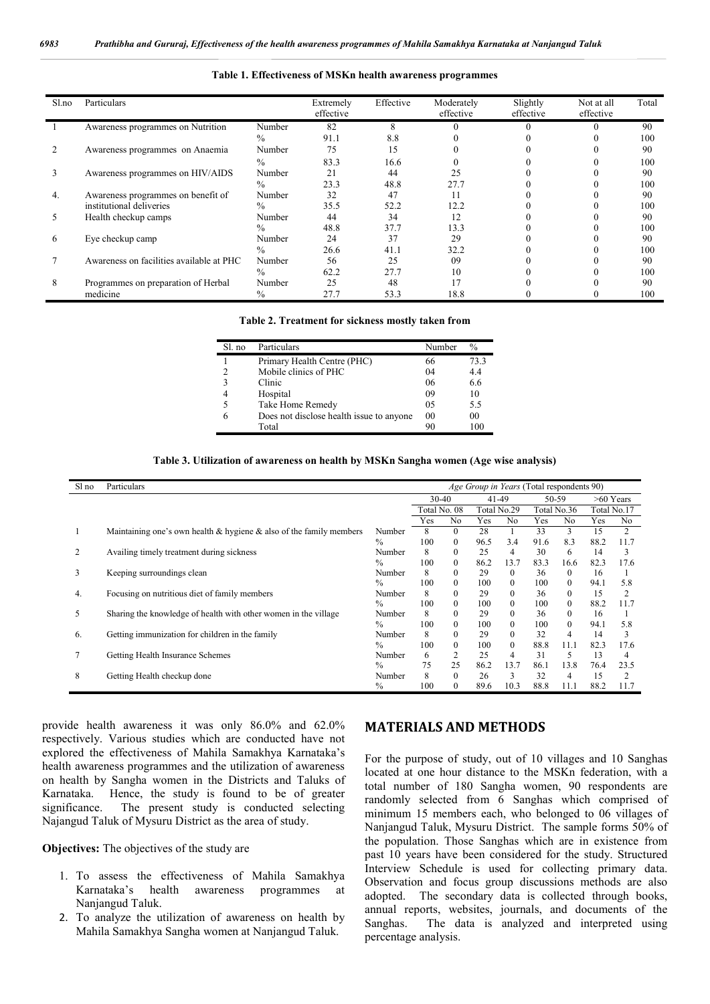#### **Table 1. Effectiveness of MSKn health awareness programmes**

| Sl.no | Particulars                              |               | Extremely<br>effective | Effective | Moderately<br>effective | Slightly<br>effective | Not at all<br>effective | Total |
|-------|------------------------------------------|---------------|------------------------|-----------|-------------------------|-----------------------|-------------------------|-------|
|       | Awareness programmes on Nutrition        | Number        | 82                     | 8         |                         |                       |                         | 90    |
|       |                                          | $\frac{0}{0}$ | 91.1                   | 8.8       |                         |                       |                         | 100   |
|       | Awareness programmes on Anaemia          | Number        | 75                     | 15        |                         |                       |                         | 90    |
|       |                                          | $\frac{0}{0}$ | 83.3                   | 16.6      |                         |                       |                         | 100   |
|       | Awareness programmes on HIV/AIDS         | Number        | 2.1                    | 44        | 25                      |                       |                         | 90    |
|       |                                          | $\frac{0}{0}$ | 23.3                   | 48.8      | 27.7                    |                       |                         | 100   |
| 4.    | Awareness programmes on benefit of       | Number        | 32                     | 47        |                         |                       |                         | 90    |
|       | institutional deliveries                 | $\frac{0}{0}$ | 35.5                   | 52.2      | 12.2                    |                       |                         | 100   |
|       | Health checkup camps                     | Number        | 44                     | 34        | 12                      |                       |                         | 90    |
|       |                                          | $\frac{0}{0}$ | 48.8                   | 37.7      | 13.3                    |                       |                         | 100   |
| 6     | Eye checkup camp                         | Number        | 24                     | 37        | 29                      |                       |                         | 90    |
|       |                                          | $\frac{0}{0}$ | 26.6                   | 41.1      | 32.2                    |                       |                         | 100   |
|       | Awareness on facilities available at PHC | Number        | 56                     | 25        | 09                      |                       |                         | 90    |
|       |                                          | $\%$          | 62.2                   | 27.7      | 10                      |                       |                         | 100   |
| 8     | Programmes on preparation of Herbal      | Number        | 25                     | 48        |                         |                       |                         | 90    |
|       | medicine                                 | $\frac{0}{0}$ | 27.7                   | 53.3      | 18.8                    |                       |                         | 100   |

|  | Table 2. Treatment for sickness mostly taken from |  |  |  |
|--|---------------------------------------------------|--|--|--|
|  |                                                   |  |  |  |

| Sl. no | Particulars                              | Number | $\%$ |
|--------|------------------------------------------|--------|------|
|        | Primary Health Centre (PHC)              | 66     | 73.3 |
|        | Mobile clinics of PHC                    | 04     | 4.4  |
|        | Clinic                                   | 06     | 6.6  |
|        | Hospital                                 | 09     | 10   |
|        | Take Home Remedy                         | 05     | 5.5  |
|        | Does not disclose health issue to anyone | 00     | 00   |
|        | Total                                    | 90     | 100  |

#### **Table 3. Utilization of awareness on health by MSKn Sangha women (Age wise analysis)**

| Sl no | Age Group in Years (Total respondents 90)<br>Particulars                  |               |     |              |             |                |             |              |             |                |  |  |
|-------|---------------------------------------------------------------------------|---------------|-----|--------------|-------------|----------------|-------------|--------------|-------------|----------------|--|--|
|       |                                                                           |               |     | $30-40$      |             | 41-49          | 50-59       |              | $>60$ Years |                |  |  |
|       |                                                                           |               |     | Total No. 08 | Total No.29 |                | Total No.36 |              | Total No.17 |                |  |  |
|       |                                                                           |               | Yes | No.          | Yes         | N <sub>0</sub> | Yes         | No.          | Yes         | N <sub>0</sub> |  |  |
|       | Maintaining one's own health $\&$ hygiene $\&$ also of the family members | Number        | 8   | $\Omega$     | 28          |                | 33          | 3            | 15          | $\overline{c}$ |  |  |
|       |                                                                           | $\frac{0}{0}$ | 100 | $\mathbf{0}$ | 96.5        | 3.4            | 91.6        | 8.3          | 88.2        | 11.7           |  |  |
|       | Availing timely treatment during sickness                                 | Number        | 8   | $\mathbf{0}$ | 25          | 4              | 30          | 6            | 14          | 3              |  |  |
|       |                                                                           | $\frac{0}{0}$ | 100 | $\mathbf{0}$ | 86.2        | 13.7           | 83.3        | 16.6         | 82.3        | 17.6           |  |  |
| 3     | Keeping surroundings clean                                                | Number        | 8   | $\Omega$     | 29          | $\Omega$       | 36          | $\theta$     | 16          |                |  |  |
|       |                                                                           | $\frac{0}{0}$ | 100 | $\theta$     | 100         | $\Omega$       | 100         | $\theta$     | 94.1        | 5.8            |  |  |
| 4.    | Focusing on nutritious diet of family members                             | Number        | 8   | $\mathbf{0}$ | 29          | $\theta$       | 36          | $\theta$     | 15          | 2              |  |  |
|       |                                                                           | $\frac{0}{0}$ | 100 | $\Omega$     | 100         | $\Omega$       | 100         | $\theta$     | 88.2        | 11.7           |  |  |
| 5     | Sharing the knowledge of health with other women in the village           | Number        | 8   | $\theta$     | 29          | $\theta$       | 36          | $\mathbf{0}$ | 16          |                |  |  |
|       |                                                                           | $\frac{0}{0}$ | 100 | $\Omega$     | 100         | $\Omega$       | 100         | $\theta$     | 94.1        | 5.8            |  |  |
| 6.    | Getting immunization for children in the family                           | Number        | 8   | $\mathbf{0}$ | 29          | $\overline{0}$ | 32          | 4            | 14          | 3              |  |  |
|       |                                                                           | $\frac{0}{0}$ | 100 | $\mathbf{0}$ | 100         | $\mathbf{0}$   | 88.8        | 11.1         | 82.3        | 17.6           |  |  |
|       | Getting Health Insurance Schemes                                          | Number        | 6   | 2            | 25          | 4              | 31          | 5            | 13          | 4              |  |  |
|       |                                                                           | $\frac{0}{0}$ | 75  | 25           | 86.2        | 13.7           | 86.1        | 13.8         | 76.4        | 23.5           |  |  |
| 8     | Getting Health checkup done                                               | Number        | 8   | $\Omega$     | 26          | 3              | 32          | 4            | 15          | 2              |  |  |
|       |                                                                           | $\%$          | 100 | $\mathbf{0}$ | 89.6        | 10.3           | 88.8        | 11.1         | 88.2        | 11.7           |  |  |

provide health awareness it was only 86.0% and 62.0% respectively. Various studies which are conducted have not explored the effectiveness of Mahila Samakhya Karnataka's health awareness programmes and the utilization of awareness on health by Sangha women in the Districts and Taluks of Karnataka. Hence, the study is found to be of greater significance. The present study is conducted selecting Najangud Taluk of Mysuru District as the area of study.

**Objectives:** The objectives of the study are

- 1. To assess the effectiveness of Mahila Samakhya Karnataka's health awareness programmes at Nanjangud Taluk.
- 2. To analyze the utilization of awareness on health by Mahila Samakhya Sangha women at Nanjangud Taluk.

## **MATERIALS AND METHODS**

For the purpose of study, out of 10 villages and 10 Sanghas located at one hour distance to the MSKn federation, with a total number of 180 Sangha women, 90 respondents are randomly selected from 6 Sanghas which comprised of minimum 15 members each, who belonged to 06 villages of Nanjangud Taluk, Mysuru District. The sample forms 50% of the population. Those Sanghas which are in existence from past 10 years have been considered for the study. Structured Interview Schedule is used for collecting primary data. Observation and focus group discussions methods are also adopted. The secondary data is collected through books, annual reports, websites, journals, and documents of the Sanghas. The data is analyzed and interpreted using percentage analysis.